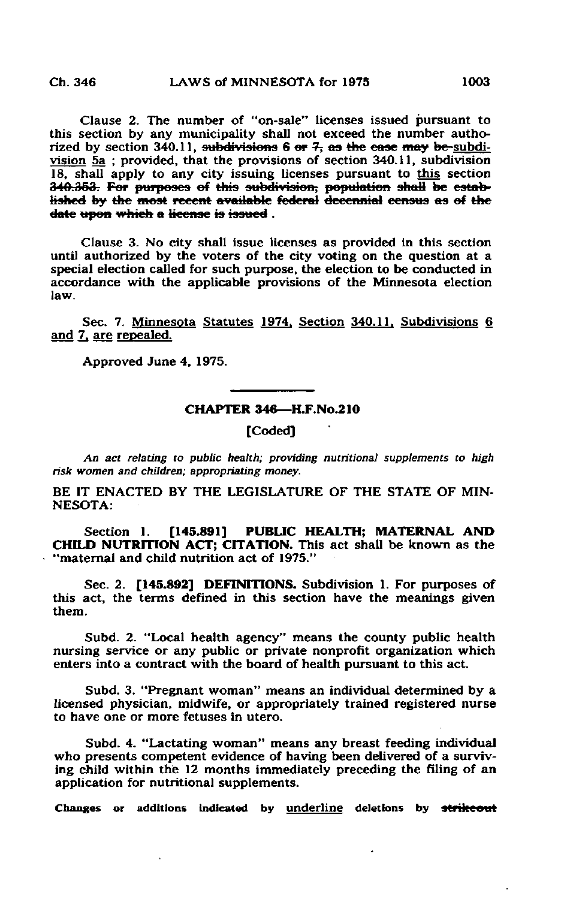Clause 2. The number of "on-sale" licenses issued pursuant to this section by any municipality shall not exceed the number authorized by section  $340.11$ , subdivisions 6 or 7, as the ease may be-subdivision 5a ; provided, that the provisions of section 340.11, subdivision 18, shall apply to any city issuing licenses pursuant to this section 340.353. For purposes of this subdivision; population shall he estobtished by the most recent available federal decennial census as of the date upon which a license is issued.

Clause 3. No city shall issue licenses as provided in this section until authorized by the voters of the city voting on the question at a special election called for such purpose, the election to be conducted in accordance with the applicable provisions of the Minnesota election law.

Sec. 7. Minnesota Statutes 1974. Section 340.11. Subdivisions 6 and 7, are repealed.

Approved June 4, 1975.

## CHAPTER 346—H.F.No.210

[Coded]

An act relating to public health; providing nutritional supplements to high risk women and children; appropriating money.

BE IT ENACTED BY THE LEGISLATURE OF THE STATE OF MIN-NESOTA:

Section 1. [145.891] PUBLIC HEALTH; MATERNAL AND CHILD NUTRITION ACT; CITATION. This act shall be known as the "maternal and child nutrition act of 1975."

Sec. 2. [145.892] DEFINITIONS. Subdivision 1. For purposes of this act, the terms defined in this section have the meanings given them.

Subd. 2. "Local health agency" means the county public health nursing service or any public or private nonprofit organization which enters into a contract with the board of health pursuant to this act.

Subd. 3. "Pregnant woman" means an individual determined by a licensed physician, midwife, or appropriately trained registered nurse to have one or more fetuses in utero.

Subd. 4. "Lactating woman" means any breast feeding individual who presents competent evidence of having been delivered of a surviving child within the 12 months immediately preceding the filing of an application for nutritional supplements.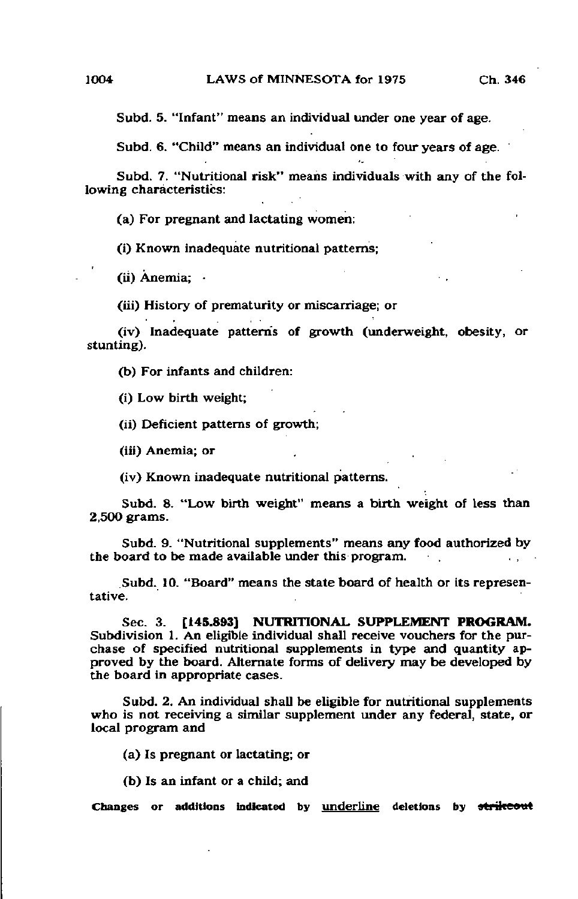Subd. 5. "Infant" means an individual under one year of age.

Subd. 6. "Child" means an individual one to four years of age.

Subd. 7. "Nutritional risk" means individuals with any of the following characteristics:

(a) For pregnant and lactating women:

(i) Known inadequate nutritional patterns;

(ii) Anemia; -

(iii) History of prematurity or miscarriage; or

(iv) Inadequate patterns of growth (underweight, obesity, or stunting).

(b) For infants and children:

(i) Low birth weight;

(ii) Deficient patterns of growth;

(iii) Anemia; or

(iv) Known inadequate nutritional patterns.

Subd. 8. "Low birth weight" means a birth weight of less than 2,500 grams.

Subd. 9. "Nutritional supplements" means any food authorized by the board to be made available under this program.

Subd. 10. "Board" means the state board of health or its representative.

Sec. 3. [145.893] NUTRITIONAL SUPPLEMENT PROGRAM. Subdivision 1. An eligible individual shall receive vouchers for the purchase of specified nutritional supplements in type and quantity approved by the board. Alternate forms of delivery may be developed by the board in appropriate cases.

Subd. 2. An individual shall be eligible for nutritional supplements who is not receiving a similar supplement under any federal, state, or local program and

(a) Is pregnant or lactating; or

(b) Is an infant or a child; and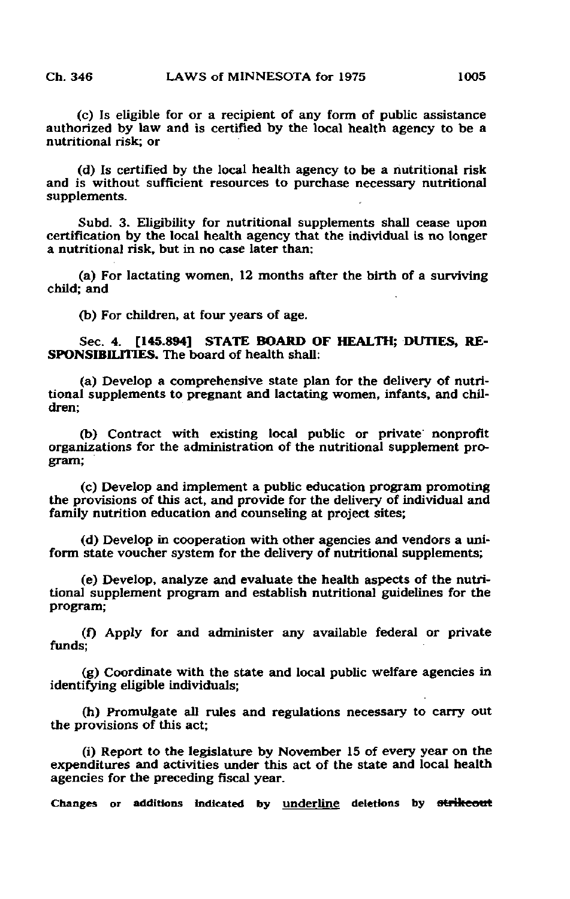(c) Is eligible for or a recipient of any form of public assistance authorized by law and is certified by the local health agency to be a nutritional risk; or

(d) Is certified by the local health agency to be a nutritional risk and is without sufficient resources to purchase necessary nutritional supplements.

Subd. 3. Eligibility for nutritional supplements shall cease upon certification by the local health agency that the individual is no longer a nutritional risk, but in no case later than:

(a) For lactating women, 12 months after the birth of a surviving child; and

(b) For children, at four years of age.

Sec. 4. [145.894] STATE BOARD OF HEALTH; DUTIES, RE-SPONSIBILITIES. The board of health shall:

(a) Develop a comprehensive state plan for the delivery of nutritional supplements to pregnant and lactating women, infants, and children;

(b) Contract with existing local public or private nonprofit organizations for the administration of the nutritional supplement program;

(c) Develop and implement a public education program promoting the provisions of this act, and provide for the delivery of individual and family nutrition education and counseling at project sites;

(d) Develop in cooperation with other agencies and vendors a uniform state voucher system for the delivery of nutritional supplements;

(e) Develop, analyze and evaluate the health aspects of the nutritional supplement program and establish nutritional guidelines for the program;

(f) Apply for and administer any available federal or private funds;

(g) Coordinate with the state and local public welfare agencies in identifying eligible individuals;

(h) Promulgate all rules and regulations necessary to carry out the provisions of this act;

(i) Report to the legislature by November 15 of every year on the expenditures and activities under this act of the state and local health agencies for the preceding fiscal year.